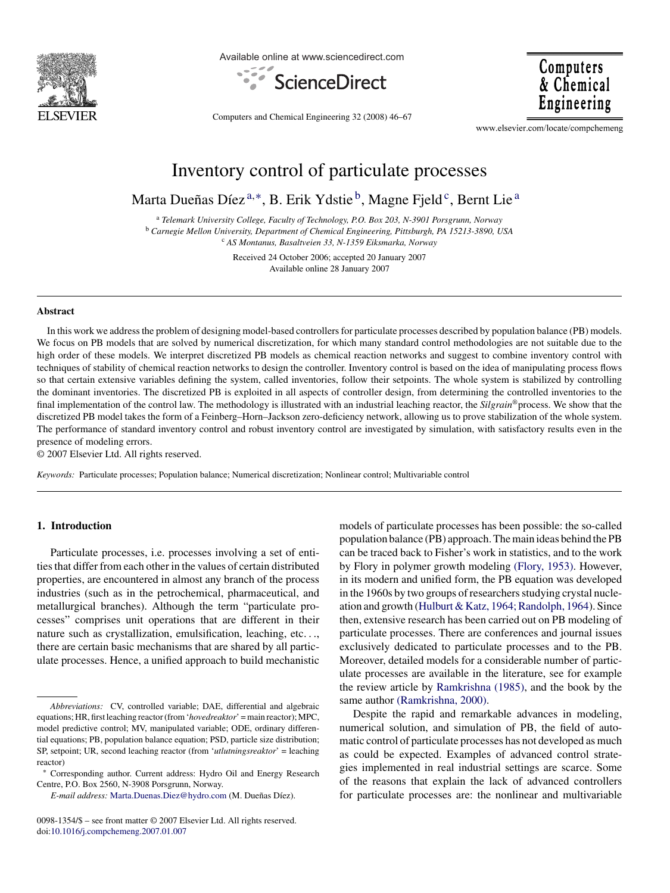

Available online at www.sciencedirect.com



Computers & Chemical Engineering

Computers and Chemical Engineering 32 (2008) 46–67

www.elsevier.com/locate/compchemeng

## Inventory control of particulate processes

Marta Dueñas Díez<sup>a,∗</sup>, B. Erik Ydstie <sup>b</sup>, Magne Fjeld <sup>c</sup>, Bernt Lie <sup>a</sup>

<sup>a</sup> *Telemark University College, Faculty of Technology, P.O. Box 203, N-3901 Porsgrunn, Norway* <sup>b</sup> *Carnegie Mellon University, Department of Chemical Engineering, Pittsburgh, PA 15213-3890, USA* <sup>c</sup> *AS Montanus, Basaltveien 33, N-1359 Eiksmarka, Norway*

> Received 24 October 2006; accepted 20 January 2007 Available online 28 January 2007

#### **Abstract**

In this work we address the problem of designing model-based controllers for particulate processes described by population balance (PB) models. We focus on PB models that are solved by numerical discretization, for which many standard control methodologies are not suitable due to the high order of these models. We interpret discretized PB models as chemical reaction networks and suggest to combine inventory control with techniques of stability of chemical reaction networks to design the controller. Inventory control is based on the idea of manipulating process flows so that certain extensive variables defining the system, called inventories, follow their setpoints. The whole system is stabilized by controlling the dominant inventories. The discretized PB is exploited in all aspects of controller design, from determining the controlled inventories to the final implementation of the control law. The methodology is illustrated with an industrial leaching reactor, the *Silgrain*®process. We show that the discretized PB model takes the form of a Feinberg–Horn–Jackson zero-deficiency network, allowing us to prove stabilization of the whole system. The performance of standard inventory control and robust inventory control are investigated by simulation, with satisfactory results even in the presence of modeling errors.

© 2007 Elsevier Ltd. All rights reserved.

*Keywords:* Particulate processes; Population balance; Numerical discretization; Nonlinear control; Multivariable control

#### **1. Introduction**

Particulate processes, i.e. processes involving a set of entities that differ from each other in the values of certain distributed properties, are encountered in almost any branch of the process industries (such as in the petrochemical, pharmaceutical, and metallurgical branches). Although the term "particulate processes" comprises unit operations that are different in their nature such as crystallization, emulsification, leaching, etc*...*, there are certain basic mechanisms that are shared by all particulate processes. Hence, a unified approach to build mechanistic

models of particulate processes has been possible: the so-called population balance (PB) approach. The main ideas behind the PB can be traced back to Fisher's work in statistics, and to the work by Flory in polymer growth modeling [\(Flory, 1953\). H](#page--1-0)owever, in its modern and unified form, the PB equation was developed in the 1960s by two groups of researchers studying crystal nucleation and growth [\(Hulburt & Katz, 1964; Randolph, 1964\).](#page--1-0) Since then, extensive research has been carried out on PB modeling of particulate processes. There are conferences and journal issues exclusively dedicated to particulate processes and to the PB. Moreover, detailed models for a considerable number of particulate processes are available in the literature, see for example the review article by [Ramkrishna \(1985\),](#page--1-0) and the book by the same author [\(Ramkrishna, 2000\).](#page--1-0)

Despite the rapid and remarkable advances in modeling, numerical solution, and simulation of PB, the field of automatic control of particulate processes has not developed as much as could be expected. Examples of advanced control strategies implemented in real industrial settings are scarce. Some of the reasons that explain the lack of advanced controllers for particulate processes are: the nonlinear and multivariable

*Abbreviations:* CV, controlled variable; DAE, differential and algebraic equations; HR, first leaching reactor (from '*hovedreaktor*' = main reactor); MPC, model predictive control; MV, manipulated variable; ODE, ordinary differential equations; PB, population balance equation; PSD, particle size distribution; SP, setpoint; UR, second leaching reactor (from '*utlutningsreaktor*' = leaching reactor)

<sup>∗</sup> Corresponding author. Current address: Hydro Oil and Energy Research Centre, P.O. Box 2560, N-3908 Porsgrunn, Norway.

*E-mail address: [Marta.Duenas.Diez@hydro.com](mailto:Marta.Duenas.Diez@hydro.com) (M. Dueñas Díez).*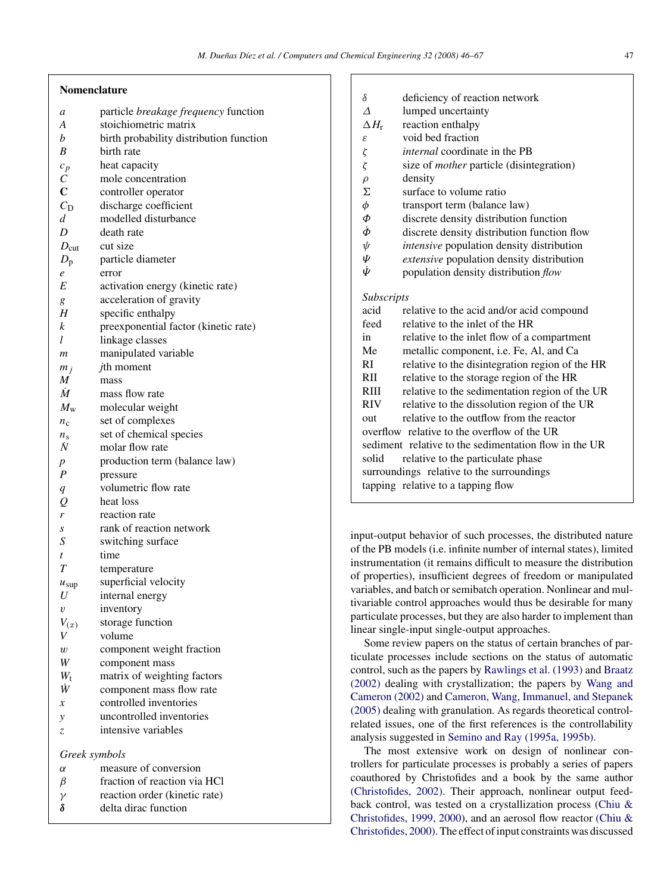|                         | <b>Nomenclature</b>                     |  |  |
|-------------------------|-----------------------------------------|--|--|
| a                       | particle breakage frequency function    |  |  |
| A                       | stoichiometric matrix                   |  |  |
| h                       | birth probability distribution function |  |  |
| B                       | birth rate                              |  |  |
| $c_p$                   | heat capacity                           |  |  |
| $\boldsymbol{C}$        | mole concentration                      |  |  |
| $\overline{\mathbf{C}}$ | controller operator                     |  |  |
| $C_{\rm D}$             | discharge coefficient                   |  |  |
| $\overline{d}$          | modelled disturbance                    |  |  |
| D                       | death rate                              |  |  |
| $D_{\rm cut}$           | cut size                                |  |  |
| $D_{\rm p}$             | particle diameter                       |  |  |
| e                       | error                                   |  |  |
| E                       | activation energy (kinetic rate)        |  |  |
| g                       | acceleration of gravity                 |  |  |
| Η                       | specific enthalpy                       |  |  |
| k                       | preexponential factor (kinetic rate)    |  |  |
| l                       | linkage classes                         |  |  |
| т                       | manipulated variable                    |  |  |
| $m_j$                   | <i>j</i> th moment                      |  |  |
| $\overline{M}$          | mass                                    |  |  |
| $\dot{M}$               | mass flow rate                          |  |  |
| $M_{\rm w}$             | molecular weight                        |  |  |
| $n_{\rm c}$             | set of complexes                        |  |  |
| $n_{\rm s}$             | set of chemical species                 |  |  |
| Ň                       | molar flow rate                         |  |  |
| p                       | production term (balance law)           |  |  |
| $\overline{P}$          | pressure                                |  |  |
| $\boldsymbol{q}$        | volumetric flow rate                    |  |  |
| Q                       | heat loss                               |  |  |
| r                       | reaction rate                           |  |  |
| S                       | rank of reaction network                |  |  |
| S                       | switching surface                       |  |  |
| t                       | time                                    |  |  |
| Т                       | temperature                             |  |  |
| u <sub>sup</sub>        | superficial velocity                    |  |  |
| U                       | internal energy                         |  |  |
| υ                       | inventory                               |  |  |
| $V_{(x)}$               | storage function                        |  |  |
| V                       | volume                                  |  |  |
| $\boldsymbol{w}$        | component weight fraction               |  |  |
| W                       | component mass                          |  |  |
| $W_t$                   | matrix of weighting factors             |  |  |
| Ŵ                       | component mass flow rate                |  |  |
| $\boldsymbol{x}$        | controlled inventories                  |  |  |
| y                       | uncontrolled inventories                |  |  |
| Z                       | intensive variables                     |  |  |
|                         |                                         |  |  |

### *Greek symbols*

|  | $\alpha$ | measure of conversion |  |  |
|--|----------|-----------------------|--|--|
|--|----------|-----------------------|--|--|

- *β* fraction of reaction via HCl
- *γ* reaction order (kinetic rate)
- *δ* delta dirac function

| Δ                                                     | lumped uncertainty                              |  |  |
|-------------------------------------------------------|-------------------------------------------------|--|--|
| $\Delta H_\text{r}$                                   | reaction enthalpy                               |  |  |
| ε                                                     | void bed fraction                               |  |  |
| ζ                                                     | <i>internal</i> coordinate in the PB            |  |  |
| ζ                                                     | size of <i>mother</i> particle (disintegration) |  |  |
| $\rho$                                                | density                                         |  |  |
| Σ                                                     | surface to volume ratio                         |  |  |
| $\phi$                                                | transport term (balance law)                    |  |  |
| Φ                                                     | discrete density distribution function          |  |  |
| $\dot{\phi}$                                          | discrete density distribution function flow     |  |  |
| $\psi$                                                | intensive population density distribution       |  |  |
| Ψ                                                     | extensive population density distribution       |  |  |
| ψ                                                     | population density distribution flow            |  |  |
| Subscripts                                            |                                                 |  |  |
| acid                                                  | relative to the acid and/or acid compound       |  |  |
| feed                                                  | relative to the inlet of the HR                 |  |  |
| in                                                    | relative to the inlet flow of a compartment     |  |  |
| Me                                                    | metallic component, i.e. Fe, Al, and Ca         |  |  |
| RI                                                    | relative to the disintegration region of the HR |  |  |
| RII                                                   | relative to the storage region of the HR        |  |  |
| <b>RIII</b>                                           | relative to the sedimentation region of the UR  |  |  |
| <b>RIV</b>                                            | relative to the dissolution region of the UR    |  |  |
| out                                                   | relative to the outflow from the reactor        |  |  |
|                                                       | overflow relative to the overflow of the UR     |  |  |
| sediment relative to the sedimentation flow in the UR |                                                 |  |  |
| solid                                                 | relative to the particulate phase               |  |  |
| surroundings relative to the surroundings             |                                                 |  |  |
|                                                       | tapping relative to a tapping flow              |  |  |

*δ* deficiency of reaction network

input-output behavior of such processes, the distributed nature of the PB models (i.e. infinite number of internal states), limited instrumentation (it remains difficult to measure the distribution of properties), insufficient degrees of freedom or manipulated variables, and batch or semibatch operation. Nonlinear and multivariable control approaches would thus be desirable for many particulate processes, but they are also harder to implement than linear single-input single-output approaches.

Some review papers on the status of certain branches of particulate processes include sections on the status of automatic control, such as the papers by [Rawlings et al. \(1993\)](#page--1-0) and [Braatz](#page--1-0) [\(2002\)](#page--1-0) dealing with crystallization; the papers by [Wang and](#page--1-0) [Cameron \(2002\)](#page--1-0) and [Cameron, Wang, Immanuel, and Stepanek](#page--1-0) [\(2005\)](#page--1-0) dealing with granulation. As regards theoretical controlrelated issues, one of the first references is the controllability analysis suggested in [Semino and Ray \(1995a, 1995b\).](#page--1-0)

The most extensive work on design of nonlinear controllers for particulate processes is probably a series of papers coauthored by Christofides and a book by the same author [\(Christofides, 2002\).](#page--1-0) Their approach, nonlinear output feedback control, was tested on a crystallization process [\(Chiu &](#page--1-0) [Christofides, 1999, 2000\),](#page--1-0) and an aerosol flow reactor [\(Chiu &](#page--1-0) [Christofides, 2000\). T](#page--1-0)he effect of input constraints was discussed